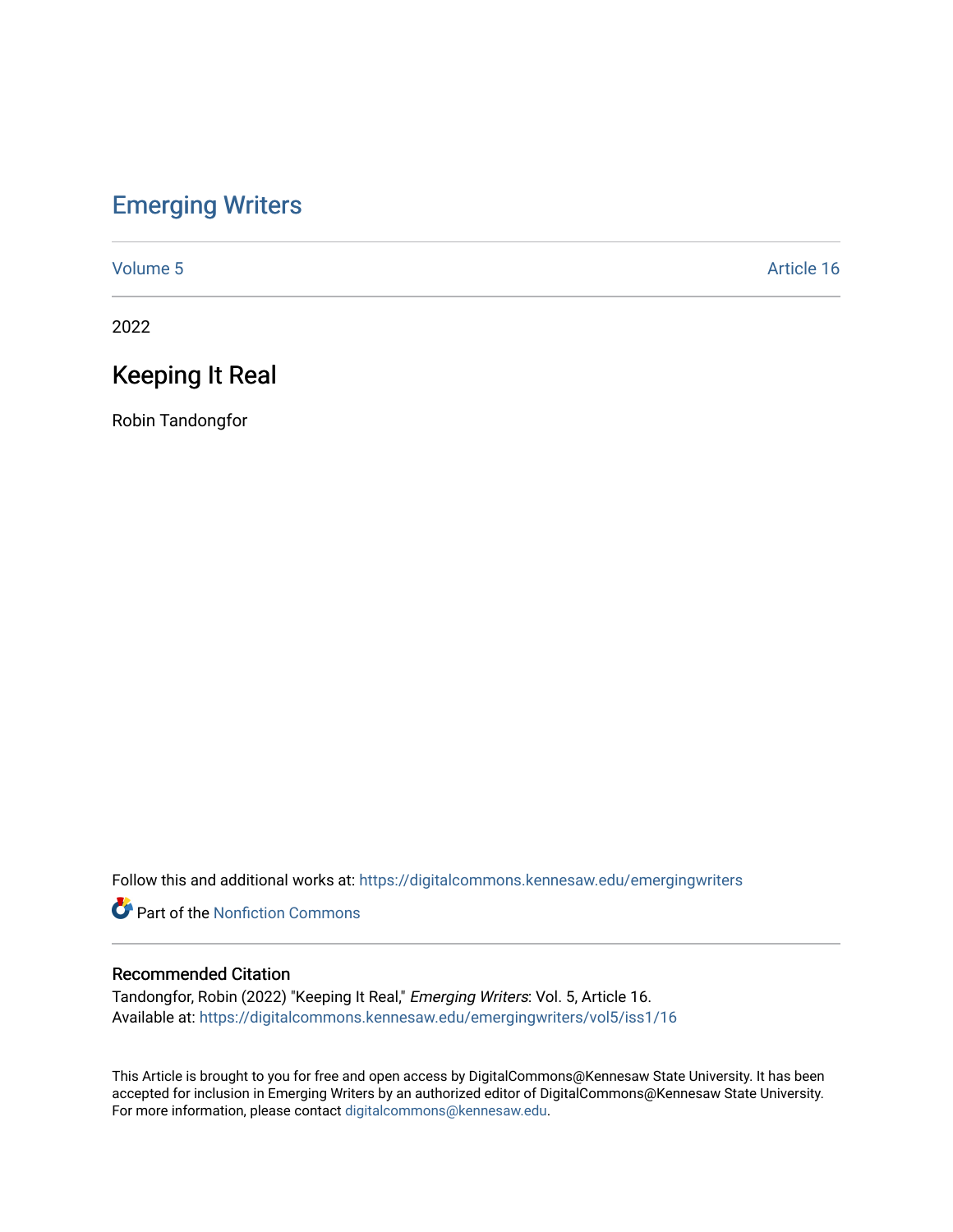## [Emerging Writers](https://digitalcommons.kennesaw.edu/emergingwriters)

[Volume 5](https://digitalcommons.kennesaw.edu/emergingwriters/vol5) Article 16

2022

# Keeping It Real

Robin Tandongfor

Follow this and additional works at: [https://digitalcommons.kennesaw.edu/emergingwriters](https://digitalcommons.kennesaw.edu/emergingwriters?utm_source=digitalcommons.kennesaw.edu%2Femergingwriters%2Fvol5%2Fiss1%2F16&utm_medium=PDF&utm_campaign=PDFCoverPages) 

**Part of the Nonfiction Commons** 

#### Recommended Citation

Tandongfor, Robin (2022) "Keeping It Real," Emerging Writers: Vol. 5, Article 16. Available at: [https://digitalcommons.kennesaw.edu/emergingwriters/vol5/iss1/16](https://digitalcommons.kennesaw.edu/emergingwriters/vol5/iss1/16?utm_source=digitalcommons.kennesaw.edu%2Femergingwriters%2Fvol5%2Fiss1%2F16&utm_medium=PDF&utm_campaign=PDFCoverPages)

This Article is brought to you for free and open access by DigitalCommons@Kennesaw State University. It has been accepted for inclusion in Emerging Writers by an authorized editor of DigitalCommons@Kennesaw State University. For more information, please contact [digitalcommons@kennesaw.edu.](mailto:digitalcommons@kennesaw.edu)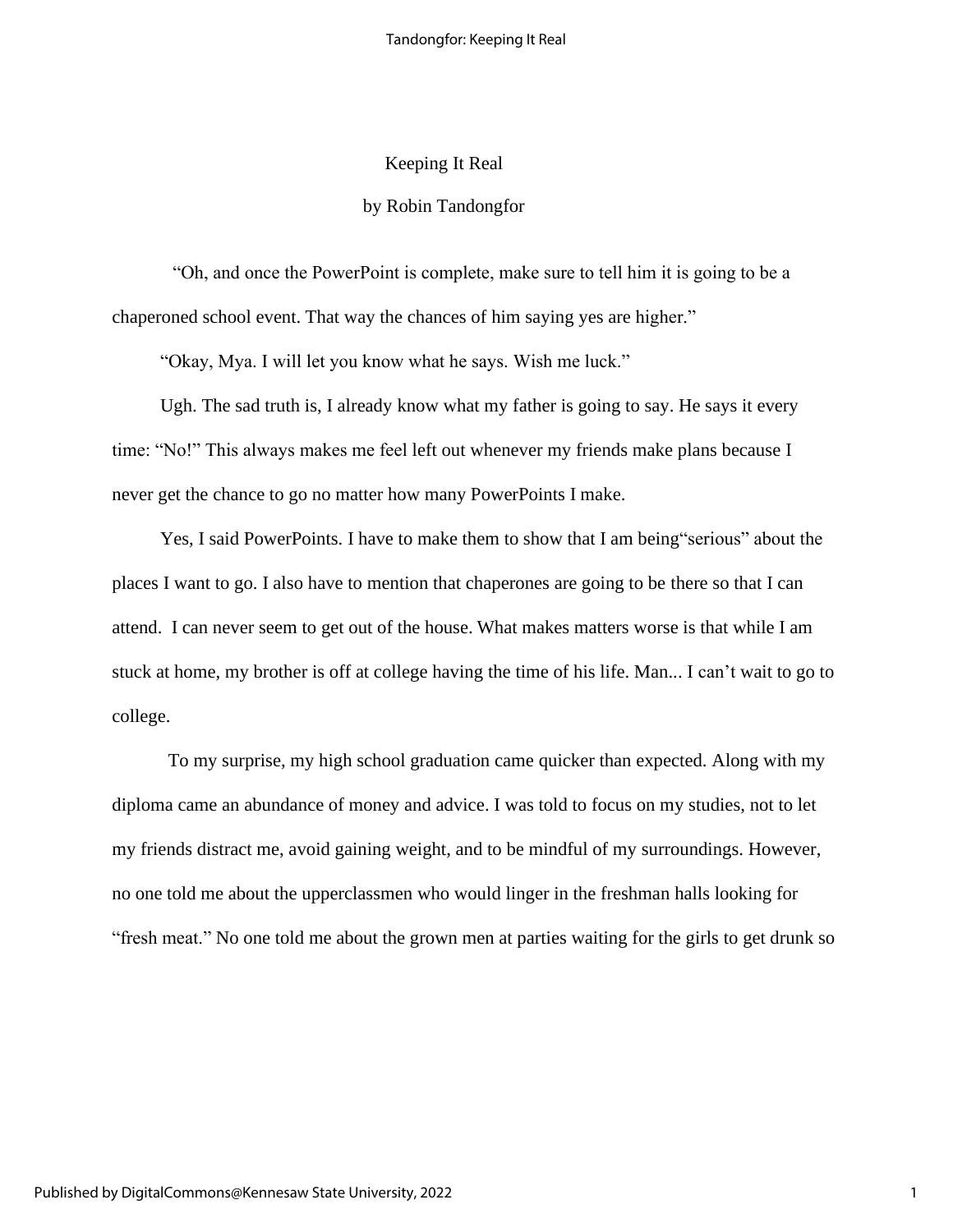### Keeping It Real

#### by Robin Tandongfor

"Oh, and once the PowerPoint is complete, make sure to tell him it is going to be a chaperoned school event. That way the chances of him saying yes are higher."

"Okay, Mya. I will let you know what he says. Wish me luck."

Ugh. The sad truth is, I already know what my father is going to say. He says it every time: "No!" This always makes me feel left out whenever my friends make plans because I never get the chance to go no matter how many PowerPoints I make.

Yes, I said PowerPoints. I have to make them to show that I am being"serious" about the places I want to go. I also have to mention that chaperones are going to be there so that I can attend. I can never seem to get out of the house. What makes matters worse is that while I am stuck at home, my brother is off at college having the time of his life. Man... I can't wait to go to college.

To my surprise, my high school graduation came quicker than expected. Along with my diploma came an abundance of money and advice. I was told to focus on my studies, not to let my friends distract me, avoid gaining weight, and to be mindful of my surroundings. However, no one told me about the upperclassmen who would linger in the freshman halls looking for "fresh meat." No one told me about the grown men at parties waiting for the girls to get drunk so

1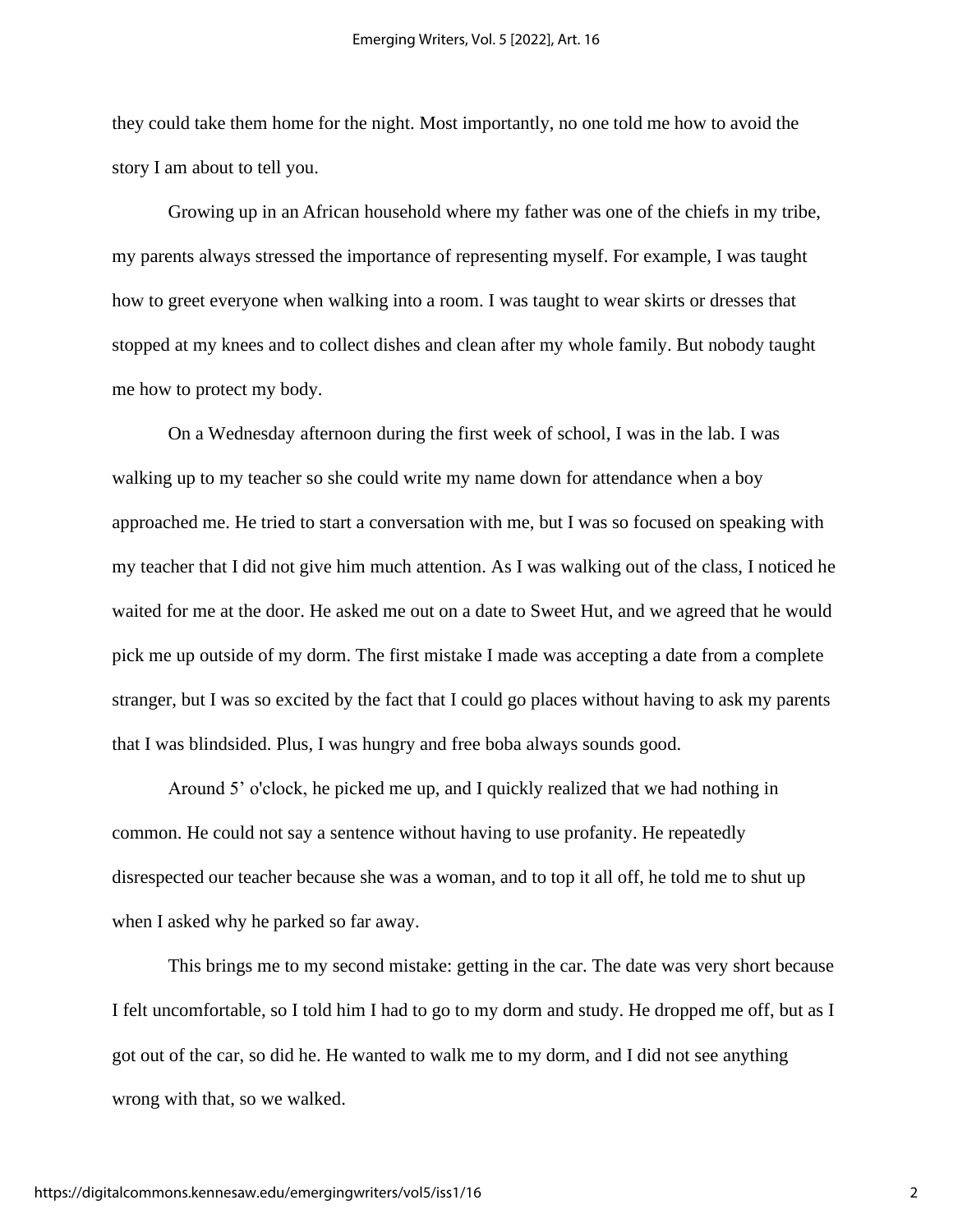they could take them home for the night. Most importantly, no one told me how to avoid the story I am about to tell you.

Growing up in an African household where my father was one of the chiefs in my tribe, my parents always stressed the importance of representing myself. For example, I was taught how to greet everyone when walking into a room. I was taught to wear skirts or dresses that stopped at my knees and to collect dishes and clean after my whole family. But nobody taught me how to protect my body.

On a Wednesday afternoon during the first week of school, I was in the lab. I was walking up to my teacher so she could write my name down for attendance when a boy approached me. He tried to start a conversation with me, but I was so focused on speaking with my teacher that I did not give him much attention. As I was walking out of the class, I noticed he waited for me at the door. He asked me out on a date to Sweet Hut, and we agreed that he would pick me up outside of my dorm. The first mistake I made was accepting a date from a complete stranger, but I was so excited by the fact that I could go places without having to ask my parents that I was blindsided. Plus, I was hungry and free boba always sounds good.

Around 5' o'clock, he picked me up, and I quickly realized that we had nothing in common. He could not say a sentence without having to use profanity. He repeatedly disrespected our teacher because she was a woman, and to top it all off, he told me to shut up when I asked why he parked so far away.

This brings me to my second mistake: getting in the car. The date was very short because I felt uncomfortable, so I told him I had to go to my dorm and study. He dropped me off, but as I got out of the car, so did he. He wanted to walk me to my dorm, and I did not see anything wrong with that, so we walked.